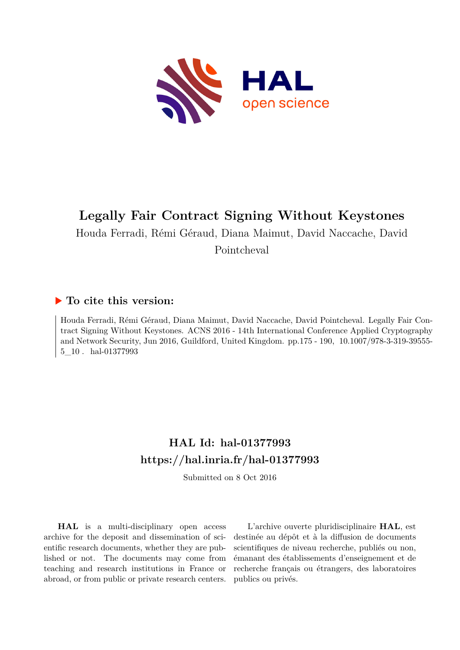

# **Legally Fair Contract Signing Without Keystones**

Houda Ferradi, Rémi Géraud, Diana Maimut, David Naccache, David

Pointcheval

# **To cite this version:**

Houda Ferradi, Rémi Géraud, Diana Maimut, David Naccache, David Pointcheval. Legally Fair Contract Signing Without Keystones. ACNS 2016 - 14th International Conference Applied Cryptography and Network Security, Jun 2016, Guildford, United Kingdom. pp.175 - 190, 10.1007/978-3-319-39555-5 10. hal-01377993

# **HAL Id: hal-01377993 <https://hal.inria.fr/hal-01377993>**

Submitted on 8 Oct 2016

**HAL** is a multi-disciplinary open access archive for the deposit and dissemination of scientific research documents, whether they are published or not. The documents may come from teaching and research institutions in France or abroad, or from public or private research centers.

L'archive ouverte pluridisciplinaire **HAL**, est destinée au dépôt et à la diffusion de documents scientifiques de niveau recherche, publiés ou non, émanant des établissements d'enseignement et de recherche français ou étrangers, des laboratoires publics ou privés.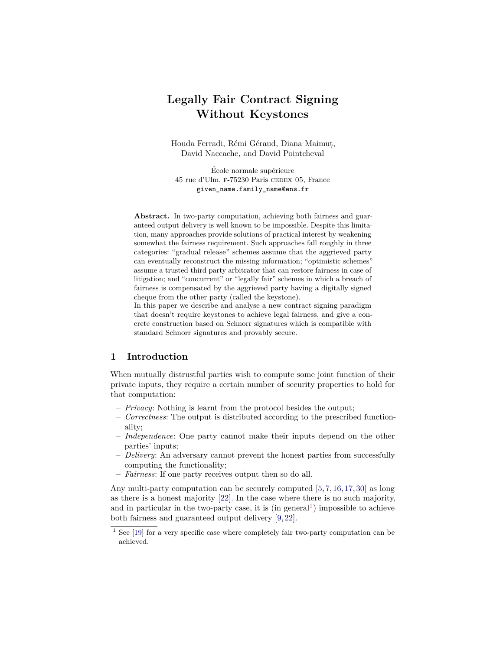# **Legally Fair Contract Signing Without Keystones**

Houda Ferradi, Rémi Géraud, Diana Maimut,, David Naccache, and David Pointcheval

École normale supérieure 45 rue d'Ulm, f-75230 Paris cedex 05, France given\_name.family\_name@ens.fr

**Abstract.** In two-party computation, achieving both fairness and guaranteed output delivery is well known to be impossible. Despite this limitation, many approaches provide solutions of practical interest by weakening somewhat the fairness requirement. Such approaches fall roughly in three categories: "gradual release" schemes assume that the aggrieved party can eventually reconstruct the missing information; "optimistic schemes" assume a trusted third party arbitrator that can restore fairness in case of litigation; and "concurrent" or "legally fair" schemes in which a breach of fairness is compensated by the aggrieved party having a digitally signed cheque from the other party (called the keystone).

In this paper we describe and analyse a new contract signing paradigm that doesn't require keystones to achieve legal fairness, and give a concrete construction based on Schnorr signatures which is compatible with standard Schnorr signatures and provably secure.

# **1 Introduction**

When mutually distrustful parties wish to compute some joint function of their private inputs, they require a certain number of security properties to hold for that computation:

- **–** *Privacy*: Nothing is learnt from the protocol besides the output;
- **–** *Correctness*: The output is distributed according to the prescribed functionality;
- **–** *Independence*: One party cannot make their inputs depend on the other parties' inputs;
- **–** *Delivery*: An adversary cannot prevent the honest parties from successfully computing the functionality;
- **–** *Fairness*: If one party receives output then so do all.

Any multi-party computation can be securely computed [5, 7, 16, 17, 30] as long as there is a honest majority [22]. In the case where there is no such majority, and in particular in the two-party case, it is  $(in general<sup>1</sup>)$  impossible to achieve both fairness and guaranteed output delivery [9, 22].

 $1$  See [19] for a very specific case where completely fair two-party computation can be achieved.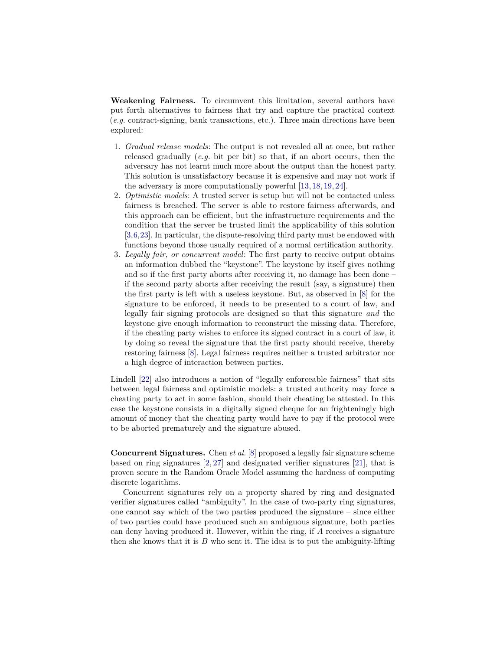**Weakening Fairness.** To circumvent this limitation, several authors have put forth alternatives to fairness that try and capture the practical context (*e.g.* contract-signing, bank transactions, etc.). Three main directions have been explored:

- 1. *Gradual release models*: The output is not revealed all at once, but rather released gradually (*e.g.* bit per bit) so that, if an abort occurs, then the adversary has not learnt much more about the output than the honest party. This solution is unsatisfactory because it is expensive and may not work if the adversary is more computationally powerful [13, 18, 19, 24].
- 2. *Optimistic models*: A trusted server is setup but will not be contacted unless fairness is breached. The server is able to restore fairness afterwards, and this approach can be efficient, but the infrastructure requirements and the condition that the server be trusted limit the applicability of this solution [3,6,23]. In particular, the dispute-resolving third party must be endowed with functions beyond those usually required of a normal certification authority.
- 3. *Legally fair, or concurrent model*: The first party to receive output obtains an information dubbed the "keystone". The keystone by itself gives nothing and so if the first party aborts after receiving it, no damage has been done – if the second party aborts after receiving the result (say, a signature) then the first party is left with a useless keystone. But, as observed in [8] for the signature to be enforced, it needs to be presented to a court of law, and legally fair signing protocols are designed so that this signature *and* the keystone give enough information to reconstruct the missing data. Therefore, if the cheating party wishes to enforce its signed contract in a court of law, it by doing so reveal the signature that the first party should receive, thereby restoring fairness [8]. Legal fairness requires neither a trusted arbitrator nor a high degree of interaction between parties.

Lindell [22] also introduces a notion of "legally enforceable fairness" that sits between legal fairness and optimistic models: a trusted authority may force a cheating party to act in some fashion, should their cheating be attested. In this case the keystone consists in a digitally signed cheque for an frighteningly high amount of money that the cheating party would have to pay if the protocol were to be aborted prematurely and the signature abused.

**Concurrent Signatures.** Chen *et al.* [8] proposed a legally fair signature scheme based on ring signatures [2, 27] and designated verifier signatures [21], that is proven secure in the Random Oracle Model assuming the hardness of computing discrete logarithms.

Concurrent signatures rely on a property shared by ring and designated verifier signatures called "ambiguity". In the case of two-party ring signatures, one cannot say which of the two parties produced the signature – since either of two parties could have produced such an ambiguous signature, both parties can deny having produced it. However, within the ring, if *A* receives a signature then she knows that it is *B* who sent it. The idea is to put the ambiguity-lifting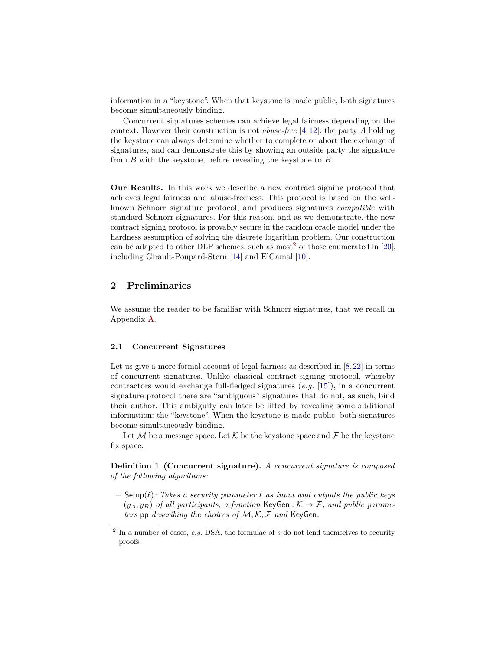information in a "keystone". When that keystone is made public, both signatures become simultaneously binding.

Concurrent signatures schemes can achieve legal fairness depending on the context. However their construction is not *abuse-free* [4, 12]: the party *A* holding the keystone can always determine whether to complete or abort the exchange of signatures, and can demonstrate this by showing an outside party the signature from *B* with the keystone, before revealing the keystone to *B*.

**Our Results.** In this work we describe a new contract signing protocol that achieves legal fairness and abuse-freeness. This protocol is based on the wellknown Schnorr signature protocol, and produces signatures *compatible* with standard Schnorr signatures. For this reason, and as we demonstrate, the new contract signing protocol is provably secure in the random oracle model under the hardness assumption of solving the discrete logarithm problem. Our construction can be adapted to other DLP schemes, such as most<sup>2</sup> of those enumerated in [20], including Girault-Poupard-Stern [14] and ElGamal [10].

# **2 Preliminaries**

We assume the reader to be familiar with Schnorr signatures, that we recall in Appendix A.

#### **2.1 Concurrent Signatures**

Let us give a more formal account of legal fairness as described in [8,22] in terms of concurrent signatures. Unlike classical contract-signing protocol, whereby contractors would exchange full-fledged signatures (*e.g.* [15]), in a concurrent signature protocol there are "ambiguous" signatures that do not, as such, bind their author. This ambiguity can later be lifted by revealing some additional information: the "keystone". When the keystone is made public, both signatures become simultaneously binding.

Let M be a message space. Let K be the keystone space and F be the keystone fix space.

**Definition 1 (Concurrent signature).** *A concurrent signature is composed of the following algorithms:*

 $-$  Setup( $\ell$ )*: Takes a security parameter*  $\ell$  *as input and outputs the public keys*  $(y_A, y_B)$  of all participants, a function KeyGen :  $K \to \mathcal{F}$ , and public parame*ters* pp *describing the choices of* M*,* K*,* F *and* KeyGen*.*

<sup>2</sup> In a number of cases, *e.g.* DSA, the formulae of *s* do not lend themselves to security proofs.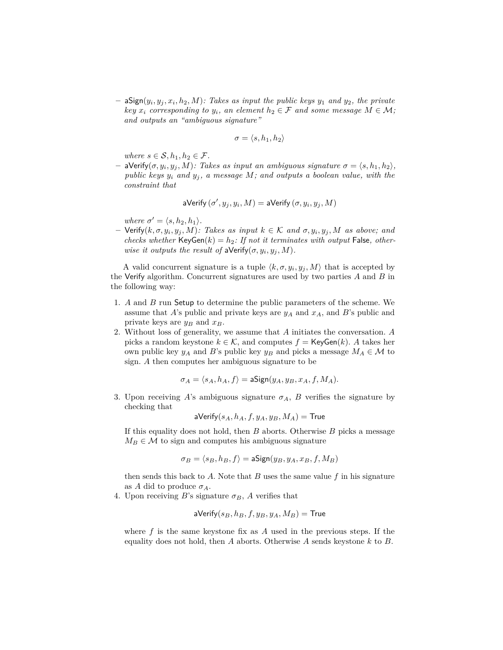$-$  aSign $(y_i, y_j, x_i, h_2, M)$ *: Takes as input the public keys*  $y_1$  *and*  $y_2$ *, the private key*  $x_i$  *corresponding to*  $y_i$ *, an element*  $h_2 \in \mathcal{F}$  *and some message*  $M \in \mathcal{M}$ *; and outputs an "ambiguous signature"*

$$
\sigma = \langle s, h_1, h_2 \rangle
$$

*where*  $s \in \mathcal{S}, h_1, h_2 \in \mathcal{F}$ .

**–** aVerify $(σ, y_i, y_j, M)$ *: Takes as input an ambiguous signature*  $σ = \langle s, h_1, h_2 \rangle$ *, public keys*  $y_i$  *and*  $y_j$ , *a message*  $M$ *; and outputs a boolean value, with the constraint that*

aVerify 
$$
(\sigma', y_j, y_i, M) =
$$
 aVerify  $(\sigma, y_i, y_j, M)$ 

*where*  $\sigma' = \langle s, h_2, h_1 \rangle$ *.* 

 $-$  Verify $(k, \sigma, y_i, y_j, M)$ : Takes as input  $k \in K$  and  $\sigma, y_i, y_j, M$  as above; and *checks whether*  $KeyGen(k) = h_2$ : If not it terminates with output False, other*wise it outputs the result of* aVerify $(\sigma, y_i, y_j, M)$ *.* 

A valid concurrent signature is a tuple  $\langle k, \sigma, y_i, y_j, M \rangle$  that is accepted by the Verify algorithm. Concurrent signatures are used by two parties *A* and *B* in the following way:

- 1. *A* and *B* run Setup to determine the public parameters of the scheme. We assume that *A*'s public and private keys are  $y_A$  and  $x_A$ , and *B*'s public and private keys are  $y_B$  and  $x_B$ .
- 2. Without loss of generality, we assume that *A* initiates the conversation. *A* picks a random keystone  $k \in \mathcal{K}$ , and computes  $f = \mathsf{KeyGen}(k)$ . A takes her own public key  $y_A$  and *B*'s public key  $y_B$  and picks a message  $M_A \in \mathcal{M}$  to sign. *A* then computes her ambiguous signature to be

$$
\sigma_A = \langle s_A, h_A, f \rangle = \mathsf{aSign}(y_A, y_B, x_A, f, M_A).
$$

3. Upon receiving *A*'s ambiguous signature  $\sigma_A$ , *B* verifies the signature by checking that

$$
\mathsf{aVerify}(s_A, h_A, f, y_A, y_B, M_A) = \mathsf{True}
$$

If this equality does not hold, then *B* aborts. Otherwise *B* picks a message  $M_B \in \mathcal{M}$  to sign and computes his ambiguous signature

$$
\sigma_B = \langle s_B, h_B, f \rangle = \text{aSign}(y_B, y_A, x_B, f, M_B)
$$

then sends this back to *A*. Note that *B* uses the same value *f* in his signature as *A* did to produce  $\sigma_A$ .

4. Upon receiving *B*'s signature  $\sigma_B$ , *A* verifies that

$$
\mathsf{aVerify}(s_B,h_B,f,y_B,y_A,M_B) = \mathsf{True}
$$

where  $f$  is the same keystone fix as  $A$  used in the previous steps. If the equality does not hold, then *A* aborts. Otherwise *A* sends keystone *k* to *B*.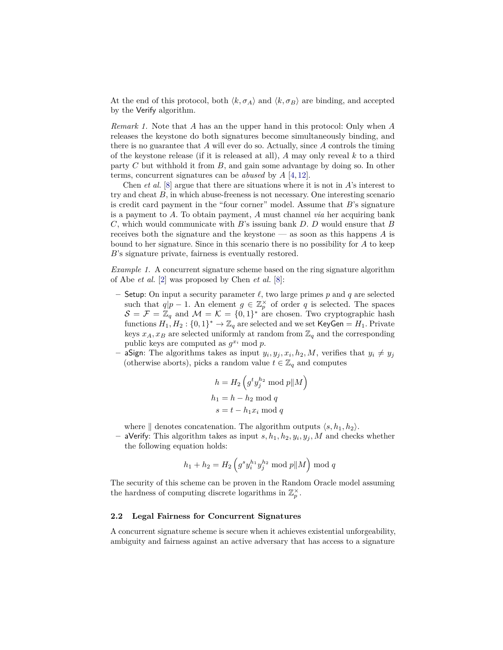At the end of this protocol, both  $\langle k, \sigma_A \rangle$  and  $\langle k, \sigma_B \rangle$  are binding, and accepted by the Verify algorithm.

*Remark 1.* Note that *A* has an the upper hand in this protocol: Only when *A* releases the keystone do both signatures become simultaneously binding, and there is no guarantee that *A* will ever do so. Actually, since *A* controls the timing of the keystone release (if it is released at all), *A* may only reveal *k* to a third party *C* but withhold it from *B*, and gain some advantage by doing so. In other terms, concurrent signatures can be *abused* by *A* [4, 12].

Chen *et al.* [8] argue that there are situations where it is not in *A*'s interest to try and cheat *B*, in which abuse-freeness is not necessary. One interesting scenario is credit card payment in the "four corner" model. Assume that *B*'s signature is a payment to *A*. To obtain payment, *A* must channel *via* her acquiring bank *C*, which would communicate with *B*'s issuing bank *D*. *D* would ensure that *B* receives both the signature and the keystone — as soon as this happens *A* is bound to her signature. Since in this scenario there is no possibility for *A* to keep *B*'s signature private, fairness is eventually restored.

*Example 1.* A concurrent signature scheme based on the ring signature algorithm of Abe *et al.* [2] was proposed by Chen *et al.* [8]:

- Setup: On input a security parameter  $\ell$ , two large primes  $p$  and  $q$  are selected such that  $q|p-1$ . An element  $g \in \mathbb{Z}_p^{\times}$  of order  $q$  is selected. The spaces  $S = \mathcal{F} = \mathbb{Z}_q$  and  $\mathcal{M} = \mathcal{K} = \{0,1\}^*$  are chosen. Two cryptographic hash functions  $H_1,H_2:\{0,1\}^* \to \mathbb{Z}_q$  are selected and we set  $\mathsf{KeyGen} = H_1.$  Private keys  $x_A, x_B$  are selected uniformly at random from  $\mathbb{Z}_q$  and the corresponding public keys are computed as  $g^{x_i}$  mod  $p$ .
- *–* aSign: The algorithms takes as input  $y_i, y_j, x_i, h_2, M$ , verifies that  $y_i \neq y_j$ (otherwise aborts), picks a random value  $t \in \mathbb{Z}_q$  and computes

$$
h = H_2 \left( g^t y_j^{h_2} \mod p \Vert M \right)
$$
  

$$
h_1 = h - h_2 \mod q
$$
  

$$
s = t - h_1 x_i \mod q
$$

where  $\parallel$  denotes concatenation. The algorithm outputs  $\langle s, h_1, h_2 \rangle$ .

**–** aVerify: This algorithm takes as input *s, h*1*, h*2*, y<sup>i</sup> , y<sup>j</sup> , M* and checks whether the following equation holds:

$$
h_1 + h_2 = H_2\left(g^s y_i^{h_1} y_j^{h_2} \bmod p \mid\mid M\right) \bmod q
$$

The security of this scheme can be proven in the Random Oracle model assuming the hardness of computing discrete logarithms in  $\mathbb{Z}_p^{\times}$ .

#### **2.2 Legal Fairness for Concurrent Signatures**

A concurrent signature scheme is secure when it achieves existential unforgeability, ambiguity and fairness against an active adversary that has access to a signature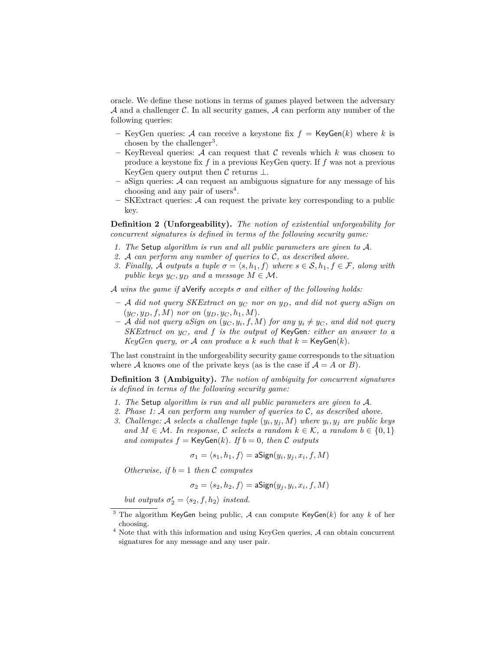oracle. We define these notions in terms of games played between the adversary  $\mathcal A$  and a challenger  $\mathcal C$ . In all security games,  $\mathcal A$  can perform any number of the following queries:

- **–** KeyGen queries: A can receive a keystone fix  $f = \mathsf{KeyGen}(k)$  where k is chosen by the challenger<sup>3</sup>.
- $-$  KeyReveal queries: A can request that C reveals which  $k$  was chosen to produce a keystone fix *f* in a previous KeyGen query. If *f* was not a previous KeyGen query output then  $\mathcal C$  returns  $\bot$ .
- **–** aSign queries: A can request an ambiguous signature for any message of his choosing and any pair of users<sup>4</sup>.
- **–** SKExtract queries: A can request the private key corresponding to a public key.

**Definition 2 (Unforgeability).** *The notion of existential unforgeability for concurrent signatures is defined in terms of the following security game:*

- *1. The* Setup *algorithm is run and all public parameters are given to* A*.*
- *2.* A *can perform any number of queries to* C*, as described above.*
- *3. Finally,* A *outputs* a tuple  $\sigma = \langle s, h_1, f \rangle$  where  $s \in S, h_1, f \in F$ *, along with public keys*  $y_C, y_D$  *and a message*  $M \in \mathcal{M}$ *.*

A *wins the game if* aVerify *accepts σ and either of the following holds:*

- **–** A *did not query SKExtract on y<sup>C</sup> nor on yD, and did not query aSign on*  $(y_C, y_D, f, M)$  *nor on*  $(y_D, y_C, h_1, M)$ .
- $-$  A did not query asign on  $(y_C, y_i, f, M)$  for any  $y_i \neq y_C$ , and did not query *SKExtract on y<sup>C</sup> , and f is the output of* KeyGen*: either an answer to a KeyGen query, or A can produce a k such that*  $k = \text{KeyGen}(k)$ *.*

The last constraint in the unforgeability security game corresponds to the situation where A knows one of the private keys (as is the case if  $A = A$  or *B*).

**Definition 3 (Ambiguity).** *The notion of ambiguity for concurrent signatures is defined in terms of the following security game:*

- *1. The* Setup *algorithm is run and all public parameters are given to* A*.*
- *2. Phase 1:* A *can perform any number of queries to* C*, as described above.*
- 3. *Challenge:* A selects a challenge tuple  $(y_i, y_j, M)$  where  $y_i, y_j$  are public keys *and*  $M \in \mathcal{M}$ *. In response,*  $\mathcal{C}$  *selects a random*  $k \in \mathcal{K}$ *, a random*  $b \in \{0,1\}$ *and computes*  $f = \text{KeyGen}(k)$ *. If*  $b = 0$ *, then* C *outputs*

$$
\sigma_1 = \langle s_1, h_1, f \rangle = \mathsf{aSign}(y_i, y_j, x_i, f, M)
$$

*Otherwise, if*  $b = 1$  *then*  $C$  *computes* 

$$
\sigma_2 = \langle s_2, h_2, f \rangle = \mathsf{aSign}(y_j, y_i, x_i, f, M)
$$

*but outputs*  $\sigma'_2 = \langle s_2, f, h_2 \rangle$  *instead.* 

<sup>3</sup> The algorithm KeyGen being public, A can compute KeyGen(*k*) for any *k* of her choosing.

 $4$  Note that with this information and using KeyGen queries,  $A$  can obtain concurrent signatures for any message and any user pair.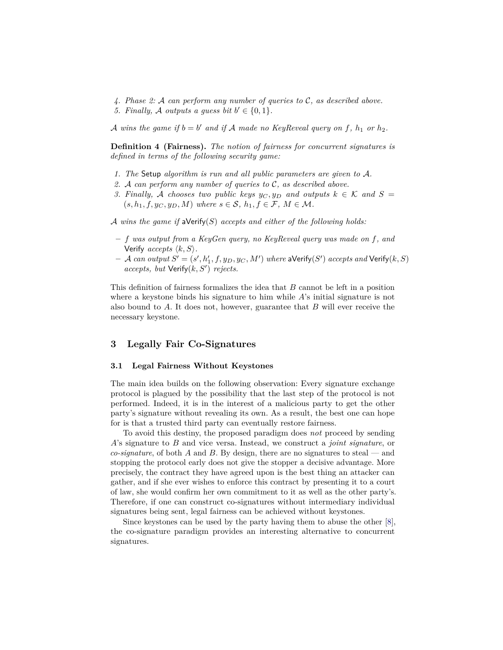*4. Phase 2:* A *can perform any number of queries to* C*, as described above. 5. Finally, A outputs a guess bit*  $b' \in \{0, 1\}$ *.* 

A wins the game if  $b = b'$  and if A made no KeyReveal query on f,  $h_1$  or  $h_2$ .

**Definition 4 (Fairness).** *The notion of fairness for concurrent signatures is defined in terms of the following security game:*

- *1. The* Setup *algorithm is run and all public parameters are given to* A*.*
- *2.* A *can perform any number of queries to* C*, as described above.*
- *3. Finally,* A *chooses two public keys*  $y_C, y_D$  *and outputs*  $k \in K$  *and*  $S =$  $(s, h_1, f, y_C, y_D, M)$  where  $s \in \mathcal{S}$ ,  $h_1, f \in \mathcal{F}$ ,  $M \in \mathcal{M}$ .

A *wins the game if* aVerify(*S*) *accepts and either of the following holds:*

- **–** *f was output from a KeyGen query, no KeyReveal query was made on f, and* Verify  $accepts \langle k, S \rangle$ *.*
- $-$  *A can output*  $S' = (s', h'_1, f, y_D, y_C, M')$  *where*  $\mathsf{aVerify}(S')$  *accepts and*  $\mathsf{Verify}(k, S)$ *accepts, but* Verify( $k, S'$ ) *rejects.*

This definition of fairness formalizes the idea that *B* cannot be left in a position where a keystone binds his signature to him while *A*'s initial signature is not also bound to *A*. It does not, however, guarantee that *B* will ever receive the necessary keystone.

## **3 Legally Fair Co-Signatures**

#### **3.1 Legal Fairness Without Keystones**

The main idea builds on the following observation: Every signature exchange protocol is plagued by the possibility that the last step of the protocol is not performed. Indeed, it is in the interest of a malicious party to get the other party's signature without revealing its own. As a result, the best one can hope for is that a trusted third party can eventually restore fairness.

To avoid this destiny, the proposed paradigm does *not* proceed by sending *A*'s signature to *B* and vice versa. Instead, we construct a *joint signature*, or *co-signature*, of both *A* and *B*. By design, there are no signatures to steal — and stopping the protocol early does not give the stopper a decisive advantage. More precisely, the contract they have agreed upon is the best thing an attacker can gather, and if she ever wishes to enforce this contract by presenting it to a court of law, she would confirm her own commitment to it as well as the other party's. Therefore, if one can construct co-signatures without intermediary individual signatures being sent, legal fairness can be achieved without keystones.

Since keystones can be used by the party having them to abuse the other [8], the co-signature paradigm provides an interesting alternative to concurrent signatures.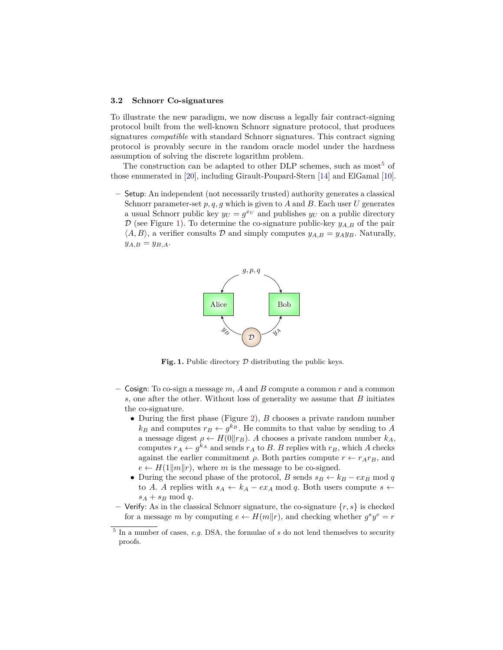#### **3.2 Schnorr Co-signatures**

To illustrate the new paradigm, we now discuss a legally fair contract-signing protocol built from the well-known Schnorr signature protocol, that produces signatures *compatible* with standard Schnorr signatures. This contract signing protocol is provably secure in the random oracle model under the hardness assumption of solving the discrete logarithm problem.

The construction can be adapted to other DLP schemes, such as most<sup>5</sup> of those enumerated in [20], including Girault-Poupard-Stern [14] and ElGamal [10].

**–** Setup: An independent (not necessarily trusted) authority generates a classical Schnorr parameter-set *p, q, g* which is given to *A* and *B*. Each user *U* generates a usual Schnorr public key  $y_U = g^{x_U}$  and publishes  $y_U$  on a public directory  $\mathcal{D}$  (see Figure 1). To determine the co-signature public-key  $y_{A,B}$  of the pair  $\langle A, B \rangle$ , a verifier consults D and simply computes  $y_{A,B} = y_A y_B$ . Naturally,  $y_{A,B} = y_{B,A}.$ 



Fig. 1. Public directory  $D$  distributing the public keys.

- **–** Cosign: To co-sign a message *m*, *A* and *B* compute a common *r* and a common *s*, one after the other. Without loss of generality we assume that *B* initiates the co-signature.
	- During the first phase (Figure 2), *B* chooses a private random number  $k_B$  and computes  $r_B \leftarrow g^{k_B}$ . He commits to that value by sending to *A* a message digest  $\rho \leftarrow H(0||r_B)$ . *A* chooses a private random number  $k_A$ , computes  $r_A \leftarrow g^{k_A}$  and sends  $r_A$  to *B*. *B* replies with  $r_B$ , which *A* checks against the earlier commitment  $\rho$ . Both parties compute  $r \leftarrow r_A r_B$ , and  $e \leftarrow H(1||m||r)$ , where *m* is the message to be co-signed.
	- During the second phase of the protocol, *B* sends  $s_B \leftarrow k_B e x_B \mod q$ to *A*. *A* replies with  $s_A \leftarrow k_A - e x_A \mod q$ . Both users compute *s* ←  $s_A + s_B \mod q$ .
- **–** Verify: As in the classical Schnorr signature, the co-signature {*r, s*} is checked for a message *m* by computing  $e \leftarrow H(m||r)$ , and checking whether  $g^s y^e = r$

<sup>&</sup>lt;sup>5</sup> In a number of cases, *e.g.* DSA, the formulae of *s* do not lend themselves to security proofs.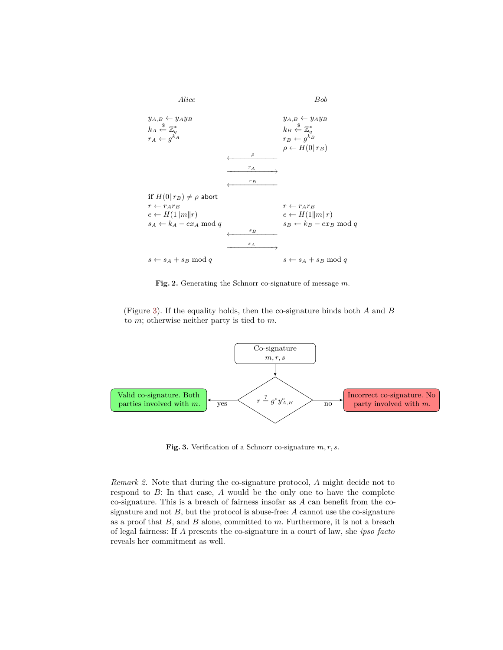

**Fig. 2.** Generating the Schnorr co-signature of message *m*.

(Figure 3). If the equality holds, then the co-signature binds both *A* and *B* to *m*; otherwise neither party is tied to *m*.



**Fig. 3.** Verification of a Schnorr co-signature *m, r, s*.

*Remark 2.* Note that during the co-signature protocol, *A* might decide not to respond to *B*: In that case, *A* would be the only one to have the complete co-signature. This is a breach of fairness insofar as *A* can benefit from the cosignature and not *B*, but the protocol is abuse-free: *A* cannot use the co-signature as a proof that *B*, and *B* alone, committed to *m*. Furthermore, it is not a breach of legal fairness: If *A* presents the co-signature in a court of law, she *ipso facto* reveals her commitment as well.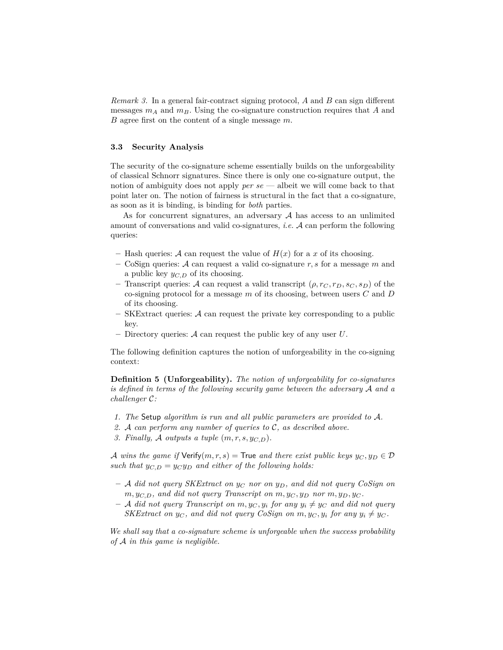*Remark 3.* In a general fair-contract signing protocol, *A* and *B* can sign different messages *m<sup>A</sup>* and *mB*. Using the co-signature construction requires that *A* and *B* agree first on the content of a single message *m*.

#### **3.3 Security Analysis**

The security of the co-signature scheme essentially builds on the unforgeability of classical Schnorr signatures. Since there is only one co-signature output, the notion of ambiguity does not apply *per se* — albeit we will come back to that point later on. The notion of fairness is structural in the fact that a co-signature, as soon as it is binding, is binding for *both* parties.

As for concurrent signatures, an adversary  $A$  has access to an unlimited amount of conversations and valid co-signatures, *i.e.* A can perform the following queries:

- Hash queries: A can request the value of  $H(x)$  for a x of its choosing.
- **–** CoSign queries: A can request a valid co-signature *r, s* for a message *m* and a public key *yC,D* of its choosing.
- **–** Transcript queries: A can request a valid transcript (*ρ, r<sup>C</sup> , rD, s<sup>C</sup> , sD*) of the co-signing protocol for a message *m* of its choosing, between users *C* and *D* of its choosing.
- **–** SKExtract queries: A can request the private key corresponding to a public key.
- **–** Directory queries: A can request the public key of any user *U*.

The following definition captures the notion of unforgeability in the co-signing context:

**Definition 5 (Unforgeability).** *The notion of unforgeability for co-signatures is defined in terms of the following security game between the adversary* A *and a challenger* C*:*

- *1. The* Setup *algorithm is run and all public parameters are provided to* A*.*
- *2.* A *can perform any number of queries to* C*, as described above.*
- *3. Finally, A outputs a tuple*  $(m, r, s, y_{C,D})$ *.*

A wins the game if  $Verify(m, r, s) =$  True and there exist public keys  $y_C, y_D \in D$ *such that*  $y_{C,D} = y_C y_D$  *and either of the following holds:* 

- **–** A *did not query SKExtract on y<sup>C</sup> nor on yD, and did not query CoSign on*  $m, y_{C,D}$ , and did not query Transcript on  $m, y_C, y_D$  nor  $m, y_D, y_C$ .
- $-$  A *did not query Transcript on*  $m, y_C, y_i$  *for any*  $y_i \neq y_C$  *and did not query SKExtract on*  $y_C$ *, and did not query CoSign on*  $m, y_C, y_i$  *for any*  $y_i \neq y_C$ *.*

*We shall say that a co-signature scheme is unforgeable when the success probability of* A *in this game is negligible.*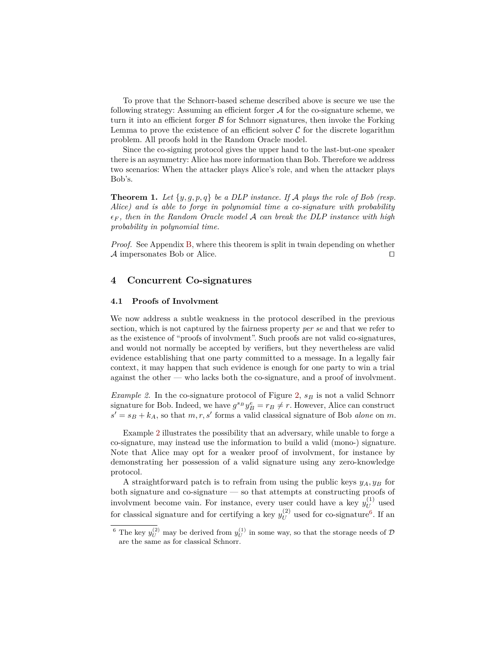To prove that the Schnorr-based scheme described above is secure we use the following strategy: Assuming an efficient forger  $A$  for the co-signature scheme, we turn it into an efficient forger  $\beta$  for Schnorr signatures, then invoke the Forking Lemma to prove the existence of an efficient solver  $\mathcal C$  for the discrete logarithm problem. All proofs hold in the Random Oracle model.

Since the co-signing protocol gives the upper hand to the last-but-one speaker there is an asymmetry: Alice has more information than Bob. Therefore we address two scenarios: When the attacker plays Alice's role, and when the attacker plays Bob's.

**Theorem 1.** Let  $\{y, g, p, q\}$  be a DLP instance. If A plays the role of Bob (resp. *Alice) and is able to forge in polynomial time a co-signature with probability*  $\epsilon_F$ , then in the Random Oracle model A can break the DLP instance with high *probability in polynomial time.*

*Proof.* See Appendix B, where this theorem is split in twain depending on whether  $\mathcal A$  impersonates Bob or Alice.

### **4 Concurrent Co-signatures**

#### **4.1 Proofs of Involvment**

We now address a subtle weakness in the protocol described in the previous section, which is not captured by the fairness property *per se* and that we refer to as the existence of "proofs of involvment". Such proofs are not valid co-signatures, and would not normally be accepted by verifiers, but they nevertheless are valid evidence establishing that one party committed to a message. In a legally fair context, it may happen that such evidence is enough for one party to win a trial against the other — who lacks both the co-signature, and a proof of involvment.

*Example 2.* In the co-signature protocol of Figure 2, *s<sup>B</sup>* is not a valid Schnorr signature for Bob. Indeed, we have  $g^{s_B} y_B^e = r_B \neq r$ . However, Alice can construct  $s' = s_B + k_A$ , so that  $m, r, s'$  forms a valid classical signature of Bob *alone* on  $m$ .

Example 2 illustrates the possibility that an adversary, while unable to forge a co-signature, may instead use the information to build a valid (mono-) signature. Note that Alice may opt for a weaker proof of involvment, for instance by demonstrating her possession of a valid signature using any zero-knowledge protocol.

A straightforward patch is to refrain from using the public keys  $y_A, y_B$  for both signature and co-signature — so that attempts at constructing proofs of involvment become vain. For instance, every user could have a key  $y_U^{(1)}$  $U^{(1)}$  used for classical signature and for certifying a key  $y_{II}^{(2)}$  $U^{(2)}$  used for co-signature<sup>6</sup>. If an

<sup>&</sup>lt;sup>6</sup> The key  $y_U^{(2)}$  may be derived from  $y_U^{(1)}$  in some way, so that the storage needs of  $D$ are the same as for classical Schnorr.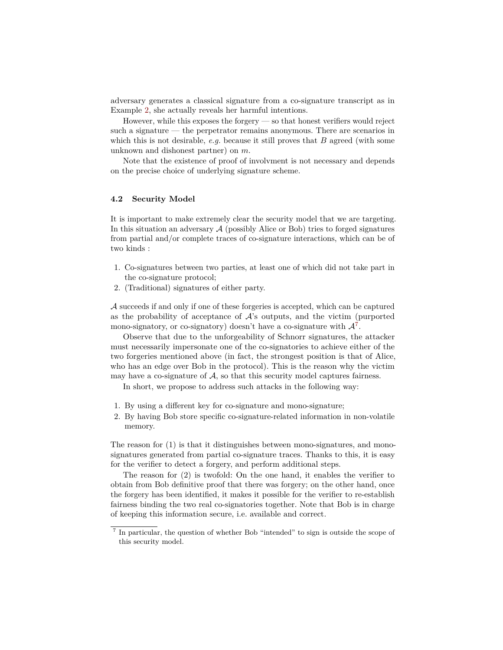adversary generates a classical signature from a co-signature transcript as in Example 2, she actually reveals her harmful intentions.

However, while this exposes the forgery — so that honest verifiers would reject such a signature — the perpetrator remains anonymous. There are scenarios in which this is not desirable, *e.g.* because it still proves that *B* agreed (with some unknown and dishonest partner) on *m*.

Note that the existence of proof of involvment is not necessary and depends on the precise choice of underlying signature scheme.

### **4.2 Security Model**

It is important to make extremely clear the security model that we are targeting. In this situation an adversary  $A$  (possibly Alice or Bob) tries to forged signatures from partial and/or complete traces of co-signature interactions, which can be of two kinds :

- 1. Co-signatures between two parties, at least one of which did not take part in the co-signature protocol;
- 2. (Traditional) signatures of either party.

A succeeds if and only if one of these forgeries is accepted, which can be captured as the probability of acceptance of  $A$ 's outputs, and the victim (purported mono-signatory, or co-signatory) doesn't have a co-signature with  $\mathcal{A}^7$ .

Observe that due to the unforgeability of Schnorr signatures, the attacker must necessarily impersonate one of the co-signatories to achieve either of the two forgeries mentioned above (in fact, the strongest position is that of Alice, who has an edge over Bob in the protocol). This is the reason why the victim may have a co-signature of  $A$ , so that this security model captures fairness.

In short, we propose to address such attacks in the following way:

- 1. By using a different key for co-signature and mono-signature;
- 2. By having Bob store specific co-signature-related information in non-volatile memory.

The reason for (1) is that it distinguishes between mono-signatures, and monosignatures generated from partial co-signature traces. Thanks to this, it is easy for the verifier to detect a forgery, and perform additional steps.

The reason for (2) is twofold: On the one hand, it enables the verifier to obtain from Bob definitive proof that there was forgery; on the other hand, once the forgery has been identified, it makes it possible for the verifier to re-establish fairness binding the two real co-signatories together. Note that Bob is in charge of keeping this information secure, i.e. available and correct.

<sup>&</sup>lt;sup>7</sup> In particular, the question of whether Bob "intended" to sign is outside the scope of this security model.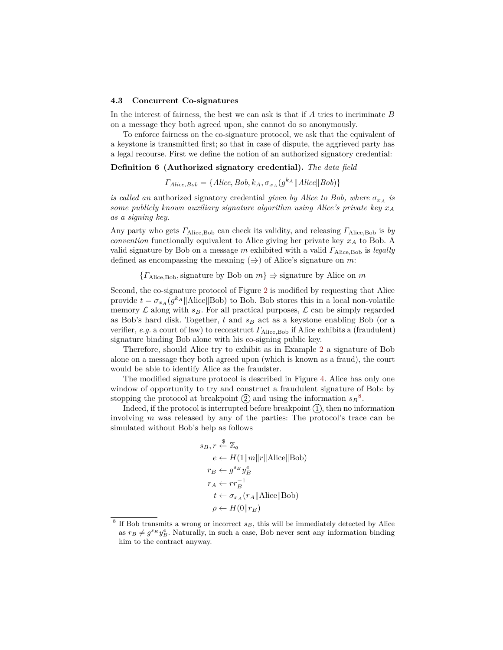#### **4.3 Concurrent Co-signatures**

In the interest of fairness, the best we can ask is that if *A* tries to incriminate *B* on a message they both agreed upon, she cannot do so anonymously.

To enforce fairness on the co-signature protocol, we ask that the equivalent of a keystone is transmitted first; so that in case of dispute, the aggrieved party has a legal recourse. First we define the notion of an authorized signatory credential:

**Definition 6 (Authorized signatory credential).** *The data field*

$$
\Gamma_{Alice,Bob} = \{Alice, Bob, k_A, \sigma_{xA}(g^{k_A} \| Alice \| Bob) \}
$$

*is called an* authorized signatory credential *given by Alice to Bob, where*  $\sigma_{x_A}$  *is some publicly known auxiliary signature algorithm using Alice's private key x<sup>A</sup> as a signing key.*

Any party who gets *Γ*Alice,Bob can check its validity, and releasing *Γ*Alice,Bob is *by convention* functionally equivalent to Alice giving her private key *x<sup>A</sup>* to Bob. A valid signature by Bob on a message *m* exhibited with a valid *Γ*Alice,Bob is *legally* defined as encompassing the meaning  $(\Rightarrow)$  of Alice's signature on *m*:

 ${ }{F_{Alice, Bob, signature}}$  by Bob on  $m \geq \text{signature by Alice on } m$ 

Second, the co-signature protocol of Figure 2 is modified by requesting that Alice provide  $t = \sigma_{xA}(g^{k_A}||\text{Alice}||\text{Bob})$  to Bob. Bob stores this in a local non-volatile memory  $\mathcal L$  along with  $s_B$ . For all practical purposes,  $\mathcal L$  can be simply regarded as Bob's hard disk. Together, *t* and *s<sup>B</sup>* act as a keystone enabling Bob (or a verifier, *e.g.* a court of law) to reconstruct *Γ*Alice,Bob if Alice exhibits a (fraudulent) signature binding Bob alone with his co-signing public key.

Therefore, should Alice try to exhibit as in Example 2 a signature of Bob alone on a message they both agreed upon (which is known as a fraud), the court would be able to identify Alice as the fraudster.

The modified signature protocol is described in Figure 4. Alice has only one window of opportunity to try and construct a fraudulent signature of Bob: by stopping the protocol at breakpoint  $(2)$  and using the information  $s_B^8$ .

Indeed, if the protocol is interrupted before breakpoint  $(1)$ , then no information involving *m* was released by any of the parties: The protocol's trace can be simulated without Bob's help as follows

$$
s_B, r \stackrel{\$}{\leftarrow} \mathbb{Z}_q
$$
  
\n
$$
e \leftarrow H(1||m||r||\text{Alice}||\text{Bob})
$$
  
\n
$$
r_B \leftarrow g^{s_B} y_B^e
$$
  
\n
$$
r_A \leftarrow rr_B^{-1}
$$
  
\n
$$
t \leftarrow \sigma_{x_A}(r_A||\text{Alice}||\text{Bob})
$$
  
\n
$$
\rho \leftarrow H(0||r_B)
$$

<sup>&</sup>lt;sup>8</sup> If Bob transmits a wrong or incorrect  $s_B$ , this will be immediately detected by Alice as  $r_B \neq g^{s_B} y_B^e$ . Naturally, in such a case, Bob never sent any information binding him to the contract anyway.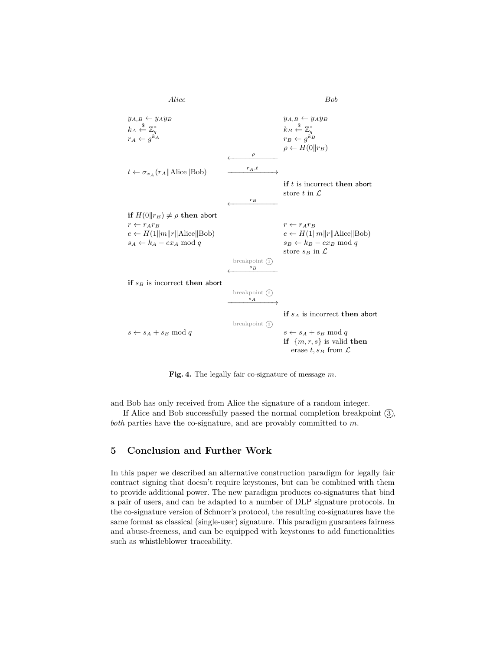

**Fig. 4.** The legally fair co-signature of message *m*.

and Bob has only received from Alice the signature of a random integer.

If Alice and Bob successfully passed the normal completion breakpoint  $(3)$ , *both* parties have the co-signature, and are provably committed to *m*.

# **5 Conclusion and Further Work**

In this paper we described an alternative construction paradigm for legally fair contract signing that doesn't require keystones, but can be combined with them to provide additional power. The new paradigm produces co-signatures that bind a pair of users, and can be adapted to a number of DLP signature protocols. In the co-signature version of Schnorr's protocol, the resulting co-signatures have the same format as classical (single-user) signature. This paradigm guarantees fairness and abuse-freeness, and can be equipped with keystones to add functionalities such as whistleblower traceability.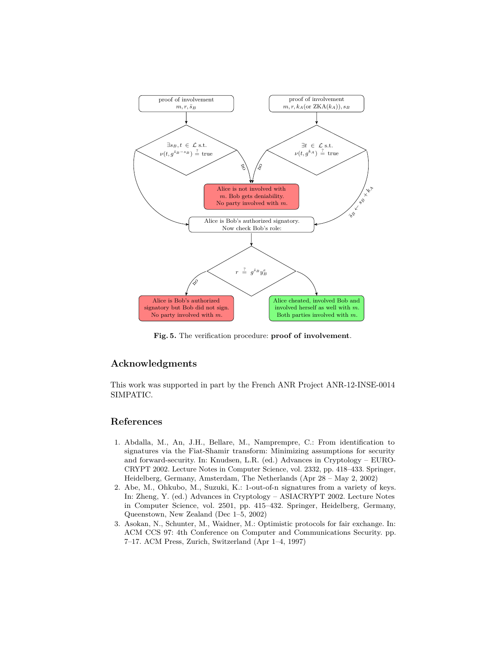

**Fig. 5.** The verification procedure: **proof of involvement**.

# **Acknowledgments**

This work was supported in part by the French ANR Project ANR-12-INSE-0014 SIMPATIC.

# **References**

- 1. Abdalla, M., An, J.H., Bellare, M., Namprempre, C.: From identification to signatures via the Fiat-Shamir transform: Minimizing assumptions for security and forward-security. In: Knudsen, L.R. (ed.) Advances in Cryptology – EURO-CRYPT 2002. Lecture Notes in Computer Science, vol. 2332, pp. 418–433. Springer, Heidelberg, Germany, Amsterdam, The Netherlands (Apr 28 – May 2, 2002)
- 2. Abe, M., Ohkubo, M., Suzuki, K.: 1-out-of-n signatures from a variety of keys. In: Zheng, Y. (ed.) Advances in Cryptology – ASIACRYPT 2002. Lecture Notes in Computer Science, vol. 2501, pp. 415–432. Springer, Heidelberg, Germany, Queenstown, New Zealand (Dec 1–5, 2002)
- 3. Asokan, N., Schunter, M., Waidner, M.: Optimistic protocols for fair exchange. In: ACM CCS 97: 4th Conference on Computer and Communications Security. pp. 7–17. ACM Press, Zurich, Switzerland (Apr 1–4, 1997)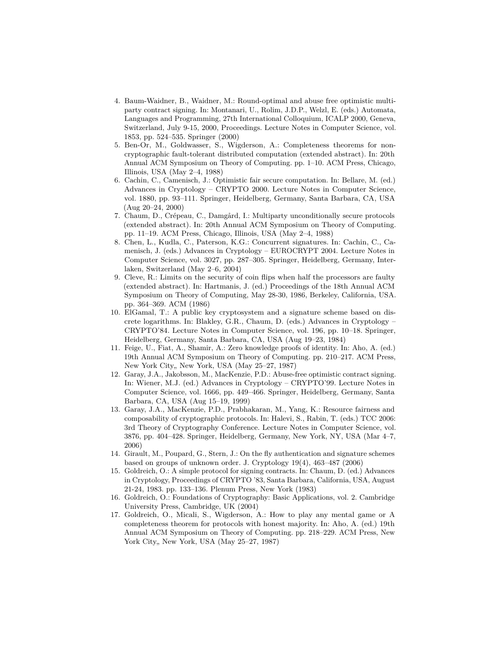- 4. Baum-Waidner, B., Waidner, M.: Round-optimal and abuse free optimistic multiparty contract signing. In: Montanari, U., Rolim, J.D.P., Welzl, E. (eds.) Automata, Languages and Programming, 27th International Colloquium, ICALP 2000, Geneva, Switzerland, July 9-15, 2000, Proceedings. Lecture Notes in Computer Science, vol. 1853, pp. 524–535. Springer (2000)
- 5. Ben-Or, M., Goldwasser, S., Wigderson, A.: Completeness theorems for noncryptographic fault-tolerant distributed computation (extended abstract). In: 20th Annual ACM Symposium on Theory of Computing. pp. 1–10. ACM Press, Chicago, Illinois, USA (May 2–4, 1988)
- 6. Cachin, C., Camenisch, J.: Optimistic fair secure computation. In: Bellare, M. (ed.) Advances in Cryptology – CRYPTO 2000. Lecture Notes in Computer Science, vol. 1880, pp. 93–111. Springer, Heidelberg, Germany, Santa Barbara, CA, USA (Aug 20–24, 2000)
- 7. Chaum, D., Crépeau, C., Damgård, I.: Multiparty unconditionally secure protocols (extended abstract). In: 20th Annual ACM Symposium on Theory of Computing. pp. 11–19. ACM Press, Chicago, Illinois, USA (May 2–4, 1988)
- 8. Chen, L., Kudla, C., Paterson, K.G.: Concurrent signatures. In: Cachin, C., Camenisch, J. (eds.) Advances in Cryptology – EUROCRYPT 2004. Lecture Notes in Computer Science, vol. 3027, pp. 287–305. Springer, Heidelberg, Germany, Interlaken, Switzerland (May 2–6, 2004)
- 9. Cleve, R.: Limits on the security of coin flips when half the processors are faulty (extended abstract). In: Hartmanis, J. (ed.) Proceedings of the 18th Annual ACM Symposium on Theory of Computing, May 28-30, 1986, Berkeley, California, USA. pp. 364–369. ACM (1986)
- 10. ElGamal, T.: A public key cryptosystem and a signature scheme based on discrete logarithms. In: Blakley, G.R., Chaum, D. (eds.) Advances in Cryptology – CRYPTO'84. Lecture Notes in Computer Science, vol. 196, pp. 10–18. Springer, Heidelberg, Germany, Santa Barbara, CA, USA (Aug 19–23, 1984)
- 11. Feige, U., Fiat, A., Shamir, A.: Zero knowledge proofs of identity. In: Aho, A. (ed.) 19th Annual ACM Symposium on Theory of Computing. pp. 210–217. ACM Press, New York City,, New York, USA (May 25–27, 1987)
- 12. Garay, J.A., Jakobsson, M., MacKenzie, P.D.: Abuse-free optimistic contract signing. In: Wiener, M.J. (ed.) Advances in Cryptology – CRYPTO'99. Lecture Notes in Computer Science, vol. 1666, pp. 449–466. Springer, Heidelberg, Germany, Santa Barbara, CA, USA (Aug 15–19, 1999)
- 13. Garay, J.A., MacKenzie, P.D., Prabhakaran, M., Yang, K.: Resource fairness and composability of cryptographic protocols. In: Halevi, S., Rabin, T. (eds.) TCC 2006: 3rd Theory of Cryptography Conference. Lecture Notes in Computer Science, vol. 3876, pp. 404–428. Springer, Heidelberg, Germany, New York, NY, USA (Mar 4–7, 2006)
- 14. Girault, M., Poupard, G., Stern, J.: On the fly authentication and signature schemes based on groups of unknown order. J. Cryptology 19(4), 463–487 (2006)
- 15. Goldreich, O.: A simple protocol for signing contracts. In: Chaum, D. (ed.) Advances in Cryptology, Proceedings of CRYPTO '83, Santa Barbara, California, USA, August 21-24, 1983. pp. 133–136. Plenum Press, New York (1983)
- 16. Goldreich, O.: Foundations of Cryptography: Basic Applications, vol. 2. Cambridge University Press, Cambridge, UK (2004)
- 17. Goldreich, O., Micali, S., Wigderson, A.: How to play any mental game or A completeness theorem for protocols with honest majority. In: Aho, A. (ed.) 19th Annual ACM Symposium on Theory of Computing. pp. 218–229. ACM Press, New York City,, New York, USA (May 25-27, 1987)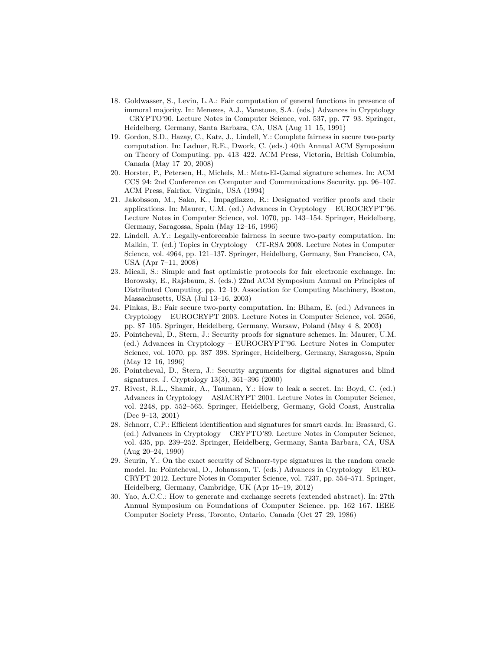- 18. Goldwasser, S., Levin, L.A.: Fair computation of general functions in presence of immoral majority. In: Menezes, A.J., Vanstone, S.A. (eds.) Advances in Cryptology – CRYPTO'90. Lecture Notes in Computer Science, vol. 537, pp. 77–93. Springer, Heidelberg, Germany, Santa Barbara, CA, USA (Aug 11–15, 1991)
- 19. Gordon, S.D., Hazay, C., Katz, J., Lindell, Y.: Complete fairness in secure two-party computation. In: Ladner, R.E., Dwork, C. (eds.) 40th Annual ACM Symposium on Theory of Computing. pp. 413–422. ACM Press, Victoria, British Columbia, Canada (May 17–20, 2008)
- 20. Horster, P., Petersen, H., Michels, M.: Meta-El-Gamal signature schemes. In: ACM CCS 94: 2nd Conference on Computer and Communications Security. pp. 96–107. ACM Press, Fairfax, Virginia, USA (1994)
- 21. Jakobsson, M., Sako, K., Impagliazzo, R.: Designated verifier proofs and their applications. In: Maurer, U.M. (ed.) Advances in Cryptology – EUROCRYPT'96. Lecture Notes in Computer Science, vol. 1070, pp. 143–154. Springer, Heidelberg, Germany, Saragossa, Spain (May 12–16, 1996)
- 22. Lindell, A.Y.: Legally-enforceable fairness in secure two-party computation. In: Malkin, T. (ed.) Topics in Cryptology – CT-RSA 2008. Lecture Notes in Computer Science, vol. 4964, pp. 121–137. Springer, Heidelberg, Germany, San Francisco, CA, USA (Apr 7–11, 2008)
- 23. Micali, S.: Simple and fast optimistic protocols for fair electronic exchange. In: Borowsky, E., Rajsbaum, S. (eds.) 22nd ACM Symposium Annual on Principles of Distributed Computing. pp. 12–19. Association for Computing Machinery, Boston, Massachusetts, USA (Jul 13–16, 2003)
- 24. Pinkas, B.: Fair secure two-party computation. In: Biham, E. (ed.) Advances in Cryptology – EUROCRYPT 2003. Lecture Notes in Computer Science, vol. 2656, pp. 87–105. Springer, Heidelberg, Germany, Warsaw, Poland (May 4–8, 2003)
- 25. Pointcheval, D., Stern, J.: Security proofs for signature schemes. In: Maurer, U.M. (ed.) Advances in Cryptology – EUROCRYPT'96. Lecture Notes in Computer Science, vol. 1070, pp. 387–398. Springer, Heidelberg, Germany, Saragossa, Spain (May 12–16, 1996)
- 26. Pointcheval, D., Stern, J.: Security arguments for digital signatures and blind signatures. J. Cryptology 13(3), 361–396 (2000)
- 27. Rivest, R.L., Shamir, A., Tauman, Y.: How to leak a secret. In: Boyd, C. (ed.) Advances in Cryptology – ASIACRYPT 2001. Lecture Notes in Computer Science, vol. 2248, pp. 552–565. Springer, Heidelberg, Germany, Gold Coast, Australia (Dec 9–13, 2001)
- 28. Schnorr, C.P.: Efficient identification and signatures for smart cards. In: Brassard, G. (ed.) Advances in Cryptology – CRYPTO'89. Lecture Notes in Computer Science, vol. 435, pp. 239–252. Springer, Heidelberg, Germany, Santa Barbara, CA, USA (Aug 20–24, 1990)
- 29. Seurin, Y.: On the exact security of Schnorr-type signatures in the random oracle model. In: Pointcheval, D., Johansson, T. (eds.) Advances in Cryptology – EURO-CRYPT 2012. Lecture Notes in Computer Science, vol. 7237, pp. 554–571. Springer, Heidelberg, Germany, Cambridge, UK (Apr 15–19, 2012)
- 30. Yao, A.C.C.: How to generate and exchange secrets (extended abstract). In: 27th Annual Symposium on Foundations of Computer Science. pp. 162–167. IEEE Computer Society Press, Toronto, Ontario, Canada (Oct 27–29, 1986)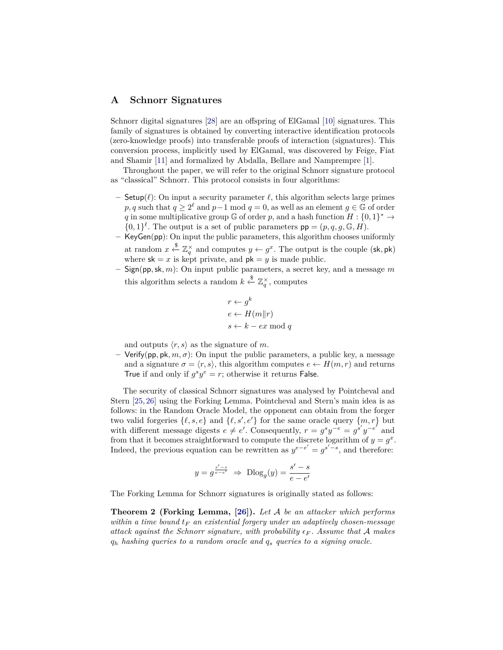## **A Schnorr Signatures**

Schnorr digital signatures [28] are an offspring of ElGamal [10] signatures. This family of signatures is obtained by converting interactive identification protocols (zero-knowledge proofs) into transferable proofs of interaction (signatures). This conversion process, implicitly used by ElGamal, was discovered by Feige, Fiat and Shamir [11] and formalized by Abdalla, Bellare and Namprempre [1].

Throughout the paper, we will refer to the original Schnorr signature protocol as "classical" Schnorr. This protocol consists in four algorithms:

- **–** Setup( $\ell$ ): On input a security parameter  $\ell$ , this algorithm selects large primes  $p, q$  such that  $q \geq 2^{\ell}$  and  $p-1$  mod  $q = 0$ , as well as an element  $q \in \mathbb{G}$  of order *q* in some multiplicative group  $\mathbb{G}$  of order *p*, and a hash function  $H: \{0,1\}^* \to$  $\{0,1\}^{\ell}$ . The output is a set of public parameters  $pp = (p, q, g, \mathbb{G}, H)$ .
- **–** KeyGen(pp): On input the public parameters, this algorithm chooses uniformly at random  $x \stackrel{\$}{\leftarrow} \mathbb{Z}_q^{\times}$  and computes  $y \leftarrow g^x$ . The output is the couple (sk, pk) where  $sk = x$  is kept private, and  $pk = y$  is made public.
- **–** Sign(pp*,*sk*, m*): On input public parameters, a secret key, and a message *m* this algorithm selects a random  $k \stackrel{\$}{\leftarrow} \mathbb{Z}_q^{\times}$ , computes

$$
r \leftarrow g^{k}
$$

$$
e \leftarrow H(m||r)
$$

$$
s \leftarrow k - ex \mod q
$$

and outputs  $\langle r, s \rangle$  as the signature of *m*.

**–** Verify(pp*,* pk*, m, σ*): On input the public parameters, a public key, a message and a signature  $\sigma = \langle r, s \rangle$ , this algorithm computes  $e \leftarrow H(m, r)$  and returns True if and only if  $g^s y^e = r$ ; otherwise it returns False.

The security of classical Schnorr signatures was analysed by Pointcheval and Stern [25, 26] using the Forking Lemma. Pointcheval and Stern's main idea is as follows: in the Random Oracle Model, the opponent can obtain from the forger two valid forgeries  $\{\ell, s, e\}$  and  $\{\ell, s', e'\}$  for the same oracle query  $\{m, r\}$  but with different message digests  $e \neq e'$ . Consequently,  $r = g^s y^{-e} = g^{s'} y^{-e'}$  and from that it becomes straightforward to compute the discrete logarithm of  $y = g^x$ . Indeed, the previous equation can be rewritten as  $y^{e-e'} = g^{s'-s}$ , and therefore:

$$
y = g^{\frac{s'-s}{e-e'}} \Rightarrow \text{Dlog}_g(y) = \frac{s'-s}{e-e'}
$$

The Forking Lemma for Schnorr signatures is originally stated as follows:

**Theorem 2 (Forking Lemma, [26]).** *Let* A *be an attacker which performs within a time bound t<sup>F</sup> an existential forgery under an adaptively chosen-message attack against the Schnorr signature, with probability*  $\epsilon_F$ . Assume that A makes *q<sup>h</sup> hashing queries to a random oracle and q<sup>s</sup> queries to a signing oracle.*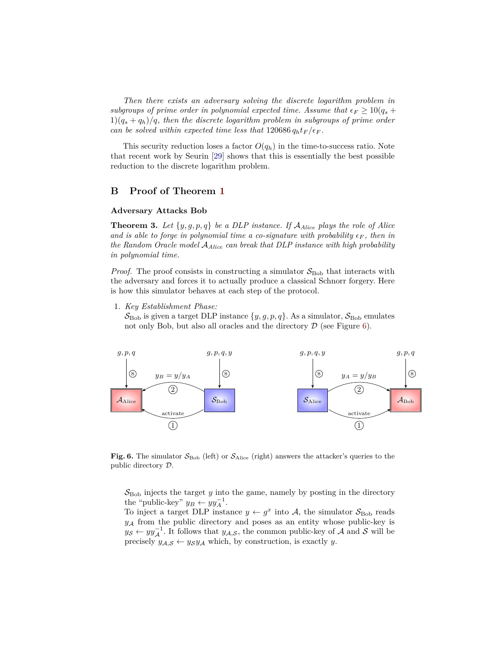*Then there exists an adversary solving the discrete logarithm problem in subgroups of prime order in polynomial expected time. Assume that*  $\epsilon_F \geq 10(q_s +$  $1)(q_s + q_h)/q$ , then the discrete logarithm problem in subgroups of prime order *can be solved within expected time less that*  $120686 q_h t_F / \epsilon_F$ .

This security reduction loses a factor  $O(q_h)$  in the time-to-success ratio. Note that recent work by Seurin [29] shows that this is essentially the best possible reduction to the discrete logarithm problem.

#### **B Proof of Theorem 1**

#### **Adversary Attacks Bob**

**Theorem 3.** Let  $\{y, g, p, q\}$  be a DLP instance. If  $A_{Alice}$  plays the role of Alice *and is able to forge in polynomial time a co-signature with probability*  $\epsilon_F$ , then in *the Random Oracle model* A*Alice can break that DLP instance with high probability in polynomial time.*

*Proof.* The proof consists in constructing a simulator  $S_{\text{Bob}}$  that interacts with the adversary and forces it to actually produce a classical Schnorr forgery. Here is how this simulator behaves at each step of the protocol.

1. *Key Establishment Phase:*

 $\mathcal{S}_{\text{Bob}}$  is given a target DLP instance  $\{y, g, p, q\}$ . As a simulator,  $\mathcal{S}_{\text{Bob}}$  emulates not only Bob, but also all oracles and the directory  $\mathcal D$  (see Figure 6).



Fig. 6. The simulator  $S_{\text{Bob}}$  (left) or  $S_{\text{Alice}}$  (right) answers the attacker's queries to the public directory D.

 $S<sub>Bob</sub>$  injects the target  $y$  into the game, namely by posting in the directory the "public-key"  $y_B \leftarrow y y_A^{-1}$ .

To inject a target DLP instance  $y \leftarrow g^x$  into A, the simulator  $S_{\text{Bob}}$  reads  $y_A$  from the public directory and poses as an entity whose public-key is *y<sub>S</sub>* ←  $yy_\mathcal{A}^{-1}$ . It follows that  $y_{\mathcal{A},\mathcal{S}}$ , the common public-key of  $\mathcal{A}$  and  $\mathcal{S}$  will be precisely  $y_{A,S} \leftarrow y_S y_A$  which, by construction, is exactly *y*.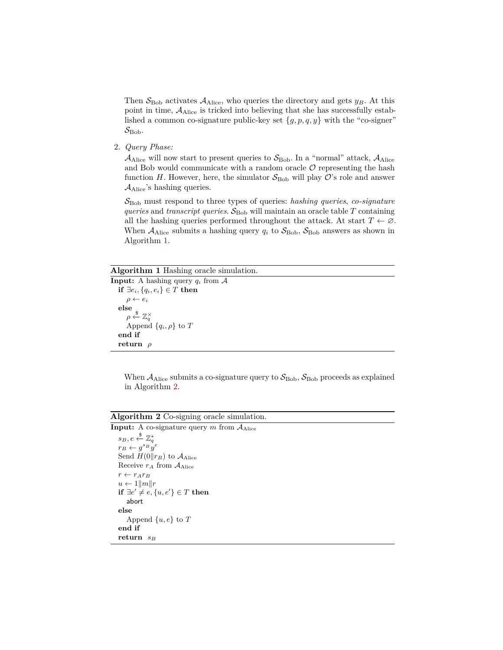Then  $S_{\text{Bob}}$  activates  $A_{\text{Alice}}$ , who queries the directory and gets  $y_B$ . At this point in time,  $A_{Alice}$  is tricked into believing that she has successfully established a common co-signature public-key set {*g, p, q, y*} with the "co-signer"  $\mathcal{S}_{\mathrm{Bob}}$ .

2. *Query Phase:*

 $\mathcal{A}_{\text{Alice}}$  will now start to present queries to  $\mathcal{S}_{\text{Bob}}$ . In a "normal" attack,  $\mathcal{A}_{\text{Alice}}$ and Bob would communicate with a random oracle  $\mathcal O$  representing the hash function *H*. However, here, the simulator  $S_{\text{Bob}}$  will play  $O$ 's role and answer  $A_{Alice}$ 's hashing queries.

SBob must respond to three types of queries: *hashing queries*, *co-signature queries* and *transcript queries*.  $S_{\text{Bob}}$  will maintain an oracle table  $T$  containing all the hashing queries performed throughout the attack. At start  $T \leftarrow \emptyset$ . When  $A_{Alice}$  submits a hashing query  $q_i$  to  $S_{Bob}$ ,  $S_{Bob}$  answers as shown in Algorithm 1.

#### **Algorithm 1** Hashing oracle simulation.

```
Input: A hashing query q_i from \mathcal Aif ∃ei, {qi, ei} ∈ T then
     \rho \leftarrow e_ielse
     \rho \overset{\$}{\leftarrow} \mathbb{Z}^{\times}_qAppend \{q_i, \rho\} to Tend if
 return ρ
```
When  $A_{Alice}$  submits a co-signature query to  $S_{Bob}$ ,  $S_{Bob}$  proceeds as explained in Algorithm 2.

**Algorithm 2** Co-signing oracle simulation.

| <b>Input:</b> A co-signature query m from $A_{Alice}$ |
|-------------------------------------------------------|
| $s_B, e \overset{\$}{\leftarrow} \mathbb{Z}_a^*$      |
| $r_B \leftarrow q^{s_B} y^e$                          |
| Send $H(0  r_B)$ to $\mathcal{A}_{Alice}$             |
| Receive $r_A$ from $A_{Alice}$                        |
| $r \leftarrow r_A r_B$                                |
| $u \leftarrow 1  m  r$                                |
| if $\exists e' \neq e, \{u, e'\} \in T$ then          |
| abort                                                 |
| else                                                  |
| Append $\{u, e\}$ to T                                |
| end if                                                |
| return $s_B$                                          |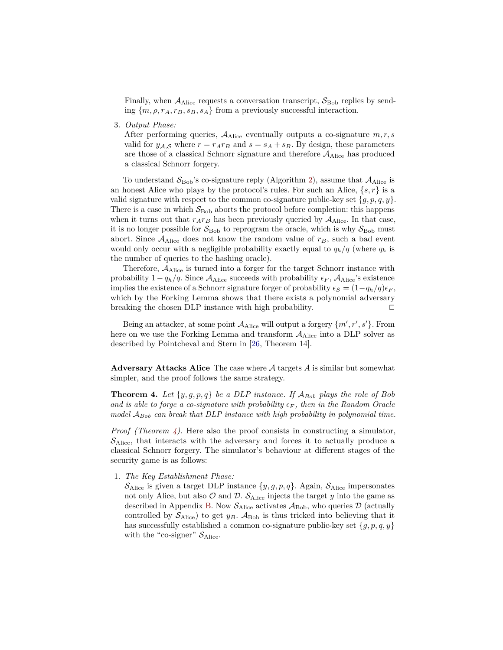Finally, when  $A_{\text{Alice}}$  requests a conversation transcript,  $S_{\text{Bob}}$  replies by sending  $\{m, \rho, r_A, r_B, s_B, s_A\}$  from a previously successful interaction.

3. *Output Phase:*

After performing queries,  $A_{Alice}$  eventually outputs a co-signature  $m, r, s$ valid for  $y_{A,S}$  where  $r = r_A r_B$  and  $s = s_A + s_B$ . By design, these parameters are those of a classical Schnorr signature and therefore  $A_{Alice}$  has produced a classical Schnorr forgery.

To understand  $S_{\text{Bob}}$ 's co-signature reply (Algorithm 2), assume that  $A_{\text{Alice}}$  is an honest Alice who plays by the protocol's rules. For such an Alice,  $\{s, r\}$  is a valid signature with respect to the common co-signature public-key set  ${g, p, q, y}$ . There is a case in which  $S_{\text{Bob}}$  aborts the protocol before completion: this happens when it turns out that  $r_A r_B$  has been previously queried by  $A_{Alice}$ . In that case, it is no longer possible for  $S_{\text{Bob}}$  to reprogram the oracle, which is why  $S_{\text{Bob}}$  must abort. Since  $A_{Alice}$  does not know the random value of  $r_B$ , such a bad event would only occur with a negligible probability exactly equal to  $q_h/q$  (where  $q_h$  is the number of queries to the hashing oracle).

Therefore, AAlice is turned into a forger for the target Schnorr instance with probability  $1 - q_h/q$ . Since  $A_{Alice}$  succeeds with probability  $\epsilon_F$ ,  $A_{Alice}$ 's existence implies the existence of a Schnorr signature forger of probability  $\epsilon_S = (1 - q_h/q)\epsilon_F$ , which by the Forking Lemma shows that there exists a polynomial adversary breaking the chosen DLP instance with high probability.  $\square$ 

Being an attacker, at some point  $A_{\text{Alice}}$  will output a forgery  $\{m', r', s'\}$ . From here on we use the Forking Lemma and transform  $A_{Alice}$  into a DLP solver as described by Pointcheval and Stern in [26, Theorem 14].

**Adversary Attacks Alice** The case where A targets *A* is similar but somewhat simpler, and the proof follows the same strategy.

**Theorem 4.** Let  $\{y, g, p, q\}$  be a DLP instance. If  $A_{Bob}$  plays the role of Bob *and is able to forge a co-signature with probability*  $\epsilon_F$ , then in the Random Oracle *model* A*Bob can break that DLP instance with high probability in polynomial time.*

*Proof (Theorem 4).* Here also the proof consists in constructing a simulator,  $\mathcal{S}_{\text{Alice}}$ , that interacts with the adversary and forces it to actually produce a classical Schnorr forgery. The simulator's behaviour at different stages of the security game is as follows:

1. *The Key Establishment Phase:*

 $\mathcal{S}_{\text{Alice}}$  is given a target DLP instance  $\{y, g, p, q\}$ . Again,  $\mathcal{S}_{\text{Alice}}$  impersonates not only Alice, but also  $\mathcal O$  and  $\mathcal D$ .  $\mathcal S_{\text{Alice}}$  injects the target  $y$  into the game as described in Appendix B. Now  $\mathcal{S}_{Alice}$  activates  $\mathcal{A}_{Bob}$ , who queries  $\mathcal{D}$  (actually controlled by  $S_{\text{Alice}}$  to get  $y_B$ .  $A_{\text{Bob}}$  is thus tricked into believing that it has successfully established a common co-signature public-key set  $\{g, p, q, y\}$ with the "co-signer"  $S_{Alice}$ .